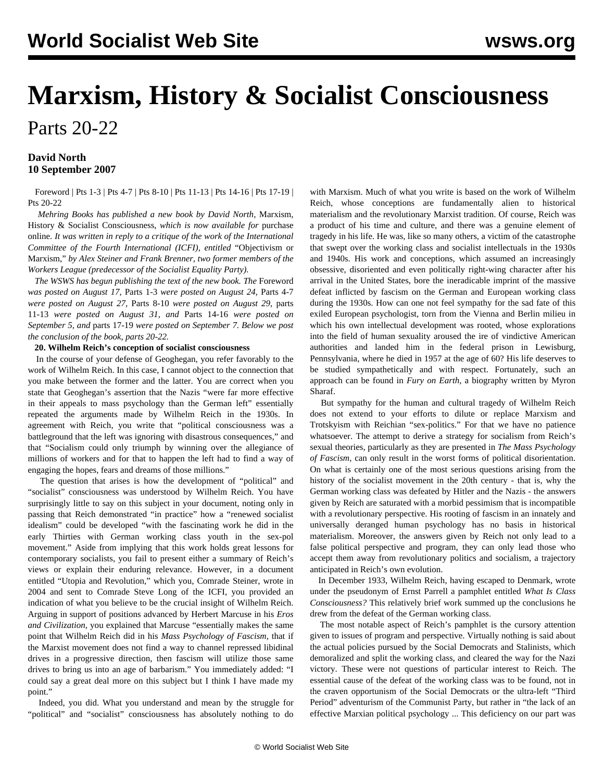# **Marxism, History & Socialist Consciousness**

Parts 20-22

### **David North 10 September 2007**

 [Foreword](/en/articles/2007/08/marx-a17.html) | [Pts 1-3](/en/articles/2007/08/marx-a24.html) | [Pts 4-7](/en/articles/2007/08/marx-a27.html) | [Pts 8-10](/en/articles/2007/08/marx-a29.html) | [Pts 11-13](/en/articles/2007/08/marx-a31.html) | [Pts 14-16](/en/articles/2007/09/marx-s05.html) | [Pts 17-19](/en/articles/2007/09/marx-s07.html) | [Pts 20-22](/en/articles/2007/09/marx-s10.html)

 *Mehring Books has published a new book by David North,* Marxism, History & Socialist Consciousness, *which is now available for* [purchase](http://dev.wsws.org/cgi-bin/store/commerce.cgi?product=newrelease) [online](http://dev.wsws.org/cgi-bin/store/commerce.cgi?product=newrelease)*. It was written in reply to a critique of the work of the International Committee of the Fourth International (ICFI), entitled* ["Objectivism or](http://www.permanent-revolution.org/) [Marxism,"](http://www.permanent-revolution.org/) *by Alex Steiner and Frank Brenner, two former members of the Workers League (predecessor of the Socialist Equality Party).*

 *The WSWS has begun publishing the text of the new book. The* [Foreword](/share/page/site/aug2007/marx-a17.shtml) *was posted on August 17,* [Parts 1-3](/share/page/site/aug2007/marx-a24.shtml) *were posted on August 24,* [Parts 4-7](/share/page/site/aug2007/marx-a27.shtml) *were posted on August 27,* [Parts 8-10](/share/page/site/aug2007/marx-a29.shtml) *were posted on August 29,* [parts](/share/page/site/aug2007/marx-a31.shtml) [11-13](/share/page/site/aug2007/marx-a31.shtml) *were posted on August 31, and* [Parts 14-16](/share/page/site/wsws/marx-s05.shtml) *were posted on September 5, and* [parts 17-19](/share/page/site/wsws/marx-s07.shtml) *were posted on September 7. Below we post the conclusion of the book, parts 20-22.*

#### **20. Wilhelm Reich's conception of socialist consciousness**

 In the course of your defense of Geoghegan, you refer favorably to the work of Wilhelm Reich. In this case, I cannot object to the connection that you make between the former and the latter. You are correct when you state that Geoghegan's assertion that the Nazis "were far more effective in their appeals to mass psychology than the German left" essentially repeated the arguments made by Wilhelm Reich in the 1930s. In agreement with Reich, you write that "political consciousness was a battleground that the left was ignoring with disastrous consequences," and that "Socialism could only triumph by winning over the allegiance of millions of workers and for that to happen the left had to find a way of engaging the hopes, fears and dreams of those millions."

 The question that arises is how the development of "political" and "socialist" consciousness was understood by Wilhelm Reich. You have surprisingly little to say on this subject in your document, noting only in passing that Reich demonstrated "in practice" how a "renewed socialist idealism" could be developed "with the fascinating work he did in the early Thirties with German working class youth in the sex-pol movement." Aside from implying that this work holds great lessons for contemporary socialists, you fail to present either a summary of Reich's views or explain their enduring relevance. However, in a document entitled "Utopia and Revolution," which you, Comrade Steiner, wrote in 2004 and sent to Comrade Steve Long of the ICFI, you provided an indication of what you believe to be the crucial insight of Wilhelm Reich. Arguing in support of positions advanced by Herbert Marcuse in his *Eros and Civilization*, you explained that Marcuse "essentially makes the same point that Wilhelm Reich did in his *Mass Psychology of Fascism*, that if the Marxist movement does not find a way to channel repressed libidinal drives in a progressive direction, then fascism will utilize those same drives to bring us into an age of barbarism." You immediately added: "I could say a great deal more on this subject but I think I have made my point."

 Indeed, you did. What you understand and mean by the struggle for "political" and "socialist" consciousness has absolutely nothing to do

with Marxism. Much of what you write is based on the work of Wilhelm Reich, whose conceptions are fundamentally alien to historical materialism and the revolutionary Marxist tradition. Of course, Reich was a product of his time and culture, and there was a genuine element of tragedy in his life. He was, like so many others, a victim of the catastrophe that swept over the working class and socialist intellectuals in the 1930s and 1940s. His work and conceptions, which assumed an increasingly obsessive, disoriented and even politically right-wing character after his arrival in the United States, bore the ineradicable imprint of the massive defeat inflicted by fascism on the German and European working class during the 1930s. How can one not feel sympathy for the sad fate of this exiled European psychologist, torn from the Vienna and Berlin milieu in which his own intellectual development was rooted, whose explorations into the field of human sexuality aroused the ire of vindictive American authorities and landed him in the federal prison in Lewisburg, Pennsylvania, where he died in 1957 at the age of 60? His life deserves to be studied sympathetically and with respect. Fortunately, such an approach can be found in *Fury on Earth*, a biography written by Myron Sharaf.

 But sympathy for the human and cultural tragedy of Wilhelm Reich does not extend to your efforts to dilute or replace Marxism and Trotskyism with Reichian "sex-politics." For that we have no patience whatsoever. The attempt to derive a strategy for socialism from Reich's sexual theories, particularly as they are presented in *The Mass Psychology of Fascism*, can only result in the worst forms of political disorientation. On what is certainly one of the most serious questions arising from the history of the socialist movement in the 20th century - that is, why the German working class was defeated by Hitler and the Nazis - the answers given by Reich are saturated with a morbid pessimism that is incompatible with a revolutionary perspective. His rooting of fascism in an innately and universally deranged human psychology has no basis in historical materialism. Moreover, the answers given by Reich not only lead to a false political perspective and program, they can only lead those who accept them away from revolutionary politics and socialism, a trajectory anticipated in Reich's own evolution.

 In December 1933, Wilhelm Reich, having escaped to Denmark, wrote under the pseudonym of Ernst Parrell a pamphlet entitled *What Is Class Consciousness?* This relatively brief work summed up the conclusions he drew from the defeat of the German working class.

 The most notable aspect of Reich's pamphlet is the cursory attention given to issues of program and perspective. Virtually nothing is said about the actual policies pursued by the Social Democrats and Stalinists, which demoralized and split the working class, and cleared the way for the Nazi victory. These were not questions of particular interest to Reich. The essential cause of the defeat of the working class was to be found, not in the craven opportunism of the Social Democrats or the ultra-left "Third Period" adventurism of the Communist Party, but rather in "the lack of an effective Marxian political psychology ... This deficiency on our part was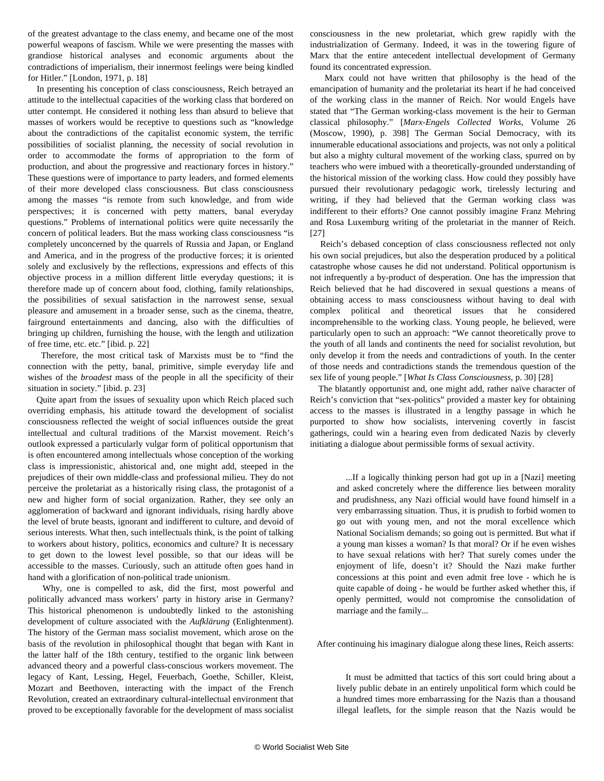of the greatest advantage to the class enemy, and became one of the most powerful weapons of fascism. While we were presenting the masses with grandiose historical analyses and economic arguments about the contradictions of imperialism, their innermost feelings were being kindled for Hitler." [London, 1971, p. 18]

 In presenting his conception of class consciousness, Reich betrayed an attitude to the intellectual capacities of the working class that bordered on utter contempt. He considered it nothing less than absurd to believe that masses of workers would be receptive to questions such as "knowledge about the contradictions of the capitalist economic system, the terrific possibilities of socialist planning, the necessity of social revolution in order to accommodate the forms of appropriation to the form of production, and about the progressive and reactionary forces in history." These questions were of importance to party leaders, and formed elements of their more developed class consciousness. But class consciousness among the masses "is remote from such knowledge, and from wide perspectives; it is concerned with petty matters, banal everyday questions." Problems of international politics were quite necessarily the concern of political leaders. But the mass working class consciousness "is completely unconcerned by the quarrels of Russia and Japan, or England and America, and in the progress of the productive forces; it is oriented solely and exclusively by the reflections, expressions and effects of this objective process in a million different little everyday questions; it is therefore made up of concern about food, clothing, family relationships, the possibilities of sexual satisfaction in the narrowest sense, sexual pleasure and amusement in a broader sense, such as the cinema, theatre, fairground entertainments and dancing, also with the difficulties of bringing up children, furnishing the house, with the length and utilization of free time, etc. etc." [ibid. p. 22]

 Therefore, the most critical task of Marxists must be to "find the connection with the petty, banal, primitive, simple everyday life and wishes of the *broadest* mass of the people in all the specificity of their situation in society." [ibid. p. 23]

 Quite apart from the issues of sexuality upon which Reich placed such overriding emphasis, his attitude toward the development of socialist consciousness reflected the weight of social influences outside the great intellectual and cultural traditions of the Marxist movement. Reich's outlook expressed a particularly vulgar form of political opportunism that is often encountered among intellectuals whose conception of the working class is impressionistic, ahistorical and, one might add, steeped in the prejudices of their own middle-class and professional milieu. They do not perceive the proletariat as a historically rising class, the protagonist of a new and higher form of social organization. Rather, they see only an agglomeration of backward and ignorant individuals, rising hardly above the level of brute beasts, ignorant and indifferent to culture, and devoid of serious interests. What then, such intellectuals think, is the point of talking to workers about history, politics, economics and culture? It is necessary to get down to the lowest level possible, so that our ideas will be accessible to the masses. Curiously, such an attitude often goes hand in hand with a glorification of non-political trade unionism.

 Why, one is compelled to ask, did the first, most powerful and politically advanced mass workers' party in history arise in Germany? This historical phenomenon is undoubtedly linked to the astonishing development of culture associated with the *Aufklärung* (Enlightenment). The history of the German mass socialist movement, which arose on the basis of the revolution in philosophical thought that began with Kant in the latter half of the 18th century, testified to the organic link between advanced theory and a powerful class-conscious workers movement. The legacy of Kant, Lessing, Hegel, Feuerbach, Goethe, Schiller, Kleist, Mozart and Beethoven, interacting with the impact of the French Revolution, created an extraordinary cultural-intellectual environment that proved to be exceptionally favorable for the development of mass socialist consciousness in the new proletariat, which grew rapidly with the industrialization of Germany. Indeed, it was in the towering figure of Marx that the entire antecedent intellectual development of Germany found its concentrated expression.

 Marx could not have written that philosophy is the head of the emancipation of humanity and the proletariat its heart if he had conceived of the working class in the manner of Reich. Nor would Engels have stated that "The German working-class movement is the heir to German classical philosophy." [*Marx-Engels Collected Works*, Volume 26 (Moscow, 1990), p. 398] The German Social Democracy, with its innumerable educational associations and projects, was not only a political but also a mighty cultural movement of the working class, spurred on by teachers who were imbued with a theoretically-grounded understanding of the historical mission of the working class. How could they possibly have pursued their revolutionary pedagogic work, tirelessly lecturing and writing, if they had believed that the German working class was indifferent to their efforts? One cannot possibly imagine Franz Mehring and Rosa Luxemburg writing of the proletariat in the manner of Reich. [27]

 Reich's debased conception of class consciousness reflected not only his own social prejudices, but also the desperation produced by a political catastrophe whose causes he did not understand. Political opportunism is not infrequently a by-product of desperation. One has the impression that Reich believed that he had discovered in sexual questions a means of obtaining access to mass consciousness without having to deal with complex political and theoretical issues that he considered incomprehensible to the working class. Young people, he believed, were particularly open to such an approach: "We cannot theoretically prove to the youth of all lands and continents the need for socialist revolution, but only develop it from the needs and contradictions of youth. In the center of those needs and contradictions stands the tremendous question of the sex life of young people." [*What Is Class Consciousness,* p. 30] [28]

 The blatantly opportunist and, one might add, rather naïve character of Reich's conviction that "sex-politics" provided a master key for obtaining access to the masses is illustrated in a lengthy passage in which he purported to show how socialists, intervening covertly in fascist gatherings, could win a hearing even from dedicated Nazis by cleverly initiating a dialogue about permissible forms of sexual activity.

 ...If a logically thinking person had got up in a [Nazi] meeting and asked concretely where the difference lies between morality and prudishness, any Nazi official would have found himself in a very embarrassing situation. Thus, it is prudish to forbid women to go out with young men, and not the moral excellence which National Socialism demands; so going out is permitted. But what if a young man kisses a woman? Is that moral? Or if he even wishes to have sexual relations with her? That surely comes under the enjoyment of life, doesn't it? Should the Nazi make further concessions at this point and even admit free love - which he is quite capable of doing - he would be further asked whether this, if openly permitted, would not compromise the consolidation of marriage and the family...

After continuing his imaginary dialogue along these lines, Reich asserts:

 It must be admitted that tactics of this sort could bring about a lively public debate in an entirely unpolitical form which could be a hundred times more embarrassing for the Nazis than a thousand illegal leaflets, for the simple reason that the Nazis would be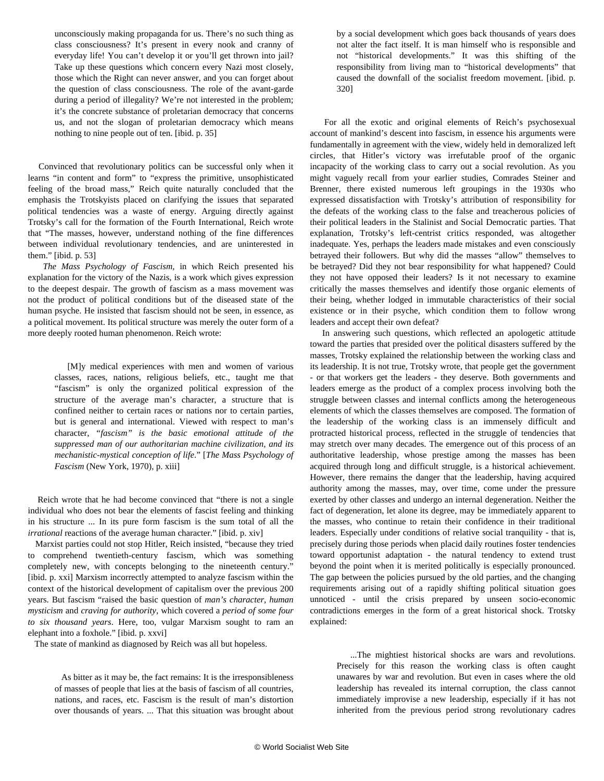unconsciously making propaganda for us. There's no such thing as class consciousness? It's present in every nook and cranny of everyday life! You can't develop it or you'll get thrown into jail? Take up these questions which concern every Nazi most closely, those which the Right can never answer, and you can forget about the question of class consciousness. The role of the avant-garde during a period of illegality? We're not interested in the problem; it's the concrete substance of proletarian democracy that concerns us, and not the slogan of proletarian democracy which means nothing to nine people out of ten. [ibid. p. 35]

 Convinced that revolutionary politics can be successful only when it learns "in content and form" to "express the primitive, unsophisticated feeling of the broad mass," Reich quite naturally concluded that the emphasis the Trotskyists placed on clarifying the issues that separated political tendencies was a waste of energy. Arguing directly against Trotsky's call for the formation of the Fourth International, Reich wrote that "The masses, however, understand nothing of the fine differences between individual revolutionary tendencies, and are uninterested in them." [ibid. p. 53]

 *The Mass Psychology of Fascism*, in which Reich presented his explanation for the victory of the Nazis, is a work which gives expression to the deepest despair. The growth of fascism as a mass movement was not the product of political conditions but of the diseased state of the human psyche. He insisted that fascism should not be seen, in essence, as a political movement. Its political structure was merely the outer form of a more deeply rooted human phenomenon. Reich wrote:

 [M]y medical experiences with men and women of various classes, races, nations, religious beliefs, etc., taught me that "fascism" is only the organized political expression of the structure of the average man's character, a structure that is confined neither to certain races or nations nor to certain parties, but is general and international. Viewed with respect to man's character, *"fascism" is the basic emotional attitude of the suppressed man of our authoritarian machine civilization, and its mechanistic-mystical conception of life*." [*The Mass Psychology of Fascism* (New York, 1970), p. xiii]

 Reich wrote that he had become convinced that "there is not a single individual who does not bear the elements of fascist feeling and thinking in his structure ... In its pure form fascism is the sum total of all the *irrational* reactions of the average human character." [ibid. p. xiv]

 Marxist parties could not stop Hitler, Reich insisted, "because they tried to comprehend twentieth-century fascism, which was something completely new, with concepts belonging to the nineteenth century." [ibid. p. xxi] Marxism incorrectly attempted to analyze fascism within the context of the historical development of capitalism over the previous 200 years. But fascism "raised the basic question of *man's character, human mysticism* and *craving for authority,* which covered a *period of some four to six thousand years*. Here, too, vulgar Marxism sought to ram an elephant into a foxhole." [ibid. p. xxvi]

The state of mankind as diagnosed by Reich was all but hopeless.

 As bitter as it may be, the fact remains: It is the irresponsibleness of masses of people that lies at the basis of fascism of all countries, nations, and races, etc. Fascism is the result of man's distortion over thousands of years. ... That this situation was brought about by a social development which goes back thousands of years does not alter the fact itself. It is man himself who is responsible and not "historical developments." It was this shifting of the responsibility from living man to "historical developments" that caused the downfall of the socialist freedom movement. [ibid. p. 320]

 For all the exotic and original elements of Reich's psychosexual account of mankind's descent into fascism, in essence his arguments were fundamentally in agreement with the view, widely held in demoralized left circles, that Hitler's victory was irrefutable proof of the organic incapacity of the working class to carry out a social revolution. As you might vaguely recall from your earlier studies, Comrades Steiner and Brenner, there existed numerous left groupings in the 1930s who expressed dissatisfaction with Trotsky's attribution of responsibility for the defeats of the working class to the false and treacherous policies of their political leaders in the Stalinist and Social Democratic parties. That explanation, Trotsky's left-centrist critics responded, was altogether inadequate. Yes, perhaps the leaders made mistakes and even consciously betrayed their followers. But why did the masses "allow" themselves to be betrayed? Did they not bear responsibility for what happened? Could they not have opposed their leaders? Is it not necessary to examine critically the masses themselves and identify those organic elements of their being, whether lodged in immutable characteristics of their social existence or in their psyche, which condition them to follow wrong leaders and accept their own defeat?

 In answering such questions, which reflected an apologetic attitude toward the parties that presided over the political disasters suffered by the masses, Trotsky explained the relationship between the working class and its leadership. It is not true, Trotsky wrote, that people get the government - or that workers get the leaders - they deserve. Both governments and leaders emerge as the product of a complex process involving both the struggle between classes and internal conflicts among the heterogeneous elements of which the classes themselves are composed. The formation of the leadership of the working class is an immensely difficult and protracted historical process, reflected in the struggle of tendencies that may stretch over many decades. The emergence out of this process of an authoritative leadership, whose prestige among the masses has been acquired through long and difficult struggle, is a historical achievement. However, there remains the danger that the leadership, having acquired authority among the masses, may, over time, come under the pressure exerted by other classes and undergo an internal degeneration. Neither the fact of degeneration, let alone its degree, may be immediately apparent to the masses, who continue to retain their confidence in their traditional leaders. Especially under conditions of relative social tranquility - that is, precisely during those periods when placid daily routines foster tendencies toward opportunist adaptation - the natural tendency to extend trust beyond the point when it is merited politically is especially pronounced. The gap between the policies pursued by the old parties, and the changing requirements arising out of a rapidly shifting political situation goes unnoticed - until the crisis prepared by unseen socio-economic contradictions emerges in the form of a great historical shock. Trotsky explained:

 ...The mightiest historical shocks are wars and revolutions. Precisely for this reason the working class is often caught unawares by war and revolution. But even in cases where the old leadership has revealed its internal corruption, the class cannot immediately improvise a new leadership, especially if it has not inherited from the previous period strong revolutionary cadres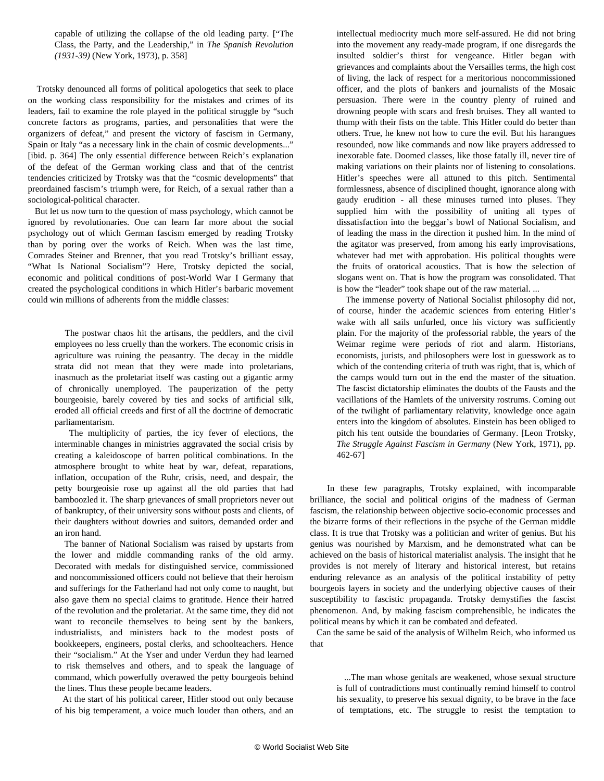capable of utilizing the collapse of the old leading party. ["The Class, the Party, and the Leadership," in *The Spanish Revolution (1931-39)* (New York, 1973), p. 358]

 Trotsky denounced all forms of political apologetics that seek to place on the working class responsibility for the mistakes and crimes of its leaders, fail to examine the role played in the political struggle by "such concrete factors as programs, parties, and personalities that were the organizers of defeat," and present the victory of fascism in Germany, Spain or Italy "as a necessary link in the chain of cosmic developments..." [ibid. p. 364] The only essential difference between Reich's explanation of the defeat of the German working class and that of the centrist tendencies criticized by Trotsky was that the "cosmic developments" that preordained fascism's triumph were, for Reich, of a sexual rather than a sociological-political character.

 But let us now turn to the question of mass psychology, which cannot be ignored by revolutionaries. One can learn far more about the social psychology out of which German fascism emerged by reading Trotsky than by poring over the works of Reich. When was the last time, Comrades Steiner and Brenner, that you read Trotsky's brilliant essay, "What Is National Socialism"? Here, Trotsky depicted the social, economic and political conditions of post-World War I Germany that created the psychological conditions in which Hitler's barbaric movement could win millions of adherents from the middle classes:

 The postwar chaos hit the artisans, the peddlers, and the civil employees no less cruelly than the workers. The economic crisis in agriculture was ruining the peasantry. The decay in the middle strata did not mean that they were made into proletarians, inasmuch as the proletariat itself was casting out a gigantic army of chronically unemployed. The pauperization of the petty bourgeoisie, barely covered by ties and socks of artificial silk, eroded all official creeds and first of all the doctrine of democratic parliamentarism.

 The multiplicity of parties, the icy fever of elections, the interminable changes in ministries aggravated the social crisis by creating a kaleidoscope of barren political combinations. In the atmosphere brought to white heat by war, defeat, reparations, inflation, occupation of the Ruhr, crisis, need, and despair, the petty bourgeoisie rose up against all the old parties that had bamboozled it. The sharp grievances of small proprietors never out of bankruptcy, of their university sons without posts and clients, of their daughters without dowries and suitors, demanded order and an iron hand.

 The banner of National Socialism was raised by upstarts from the lower and middle commanding ranks of the old army. Decorated with medals for distinguished service, commissioned and noncommissioned officers could not believe that their heroism and sufferings for the Fatherland had not only come to naught, but also gave them no special claims to gratitude. Hence their hatred of the revolution and the proletariat. At the same time, they did not want to reconcile themselves to being sent by the bankers, industrialists, and ministers back to the modest posts of bookkeepers, engineers, postal clerks, and schoolteachers. Hence their "socialism." At the Yser and under Verdun they had learned to risk themselves and others, and to speak the language of command, which powerfully overawed the petty bourgeois behind the lines. Thus these people became leaders.

 At the start of his political career, Hitler stood out only because of his big temperament, a voice much louder than others, and an

intellectual mediocrity much more self-assured. He did not bring into the movement any ready-made program, if one disregards the insulted soldier's thirst for vengeance. Hitler began with grievances and complaints about the Versailles terms, the high cost of living, the lack of respect for a meritorious noncommissioned officer, and the plots of bankers and journalists of the Mosaic persuasion. There were in the country plenty of ruined and drowning people with scars and fresh bruises. They all wanted to thump with their fists on the table. This Hitler could do better than others. True, he knew not how to cure the evil. But his harangues resounded, now like commands and now like prayers addressed to inexorable fate. Doomed classes, like those fatally ill, never tire of making variations on their plaints nor of listening to consolations. Hitler's speeches were all attuned to this pitch. Sentimental formlessness, absence of disciplined thought, ignorance along with gaudy erudition - all these minuses turned into pluses. They supplied him with the possibility of uniting all types of dissatisfaction into the beggar's bowl of National Socialism, and of leading the mass in the direction it pushed him. In the mind of the agitator was preserved, from among his early improvisations, whatever had met with approbation. His political thoughts were the fruits of oratorical acoustics. That is how the selection of slogans went on. That is how the program was consolidated. That is how the "leader" took shape out of the raw material. ...

 The immense poverty of National Socialist philosophy did not, of course, hinder the academic sciences from entering Hitler's wake with all sails unfurled, once his victory was sufficiently plain. For the majority of the professorial rabble, the years of the Weimar regime were periods of riot and alarm. Historians, economists, jurists, and philosophers were lost in guesswork as to which of the contending criteria of truth was right, that is, which of the camps would turn out in the end the master of the situation. The fascist dictatorship eliminates the doubts of the Fausts and the vacillations of the Hamlets of the university rostrums. Coming out of the twilight of parliamentary relativity, knowledge once again enters into the kingdom of absolutes. Einstein has been obliged to pitch his tent outside the boundaries of Germany. [Leon Trotsky, *The Struggle Against Fascism in Germany* (New York, 1971), pp. 462-67]

 In these few paragraphs, Trotsky explained, with incomparable brilliance, the social and political origins of the madness of German fascism, the relationship between objective socio-economic processes and the bizarre forms of their reflections in the psyche of the German middle class. It is true that Trotsky was a politician and writer of genius. But his genius was nourished by Marxism, and he demonstrated what can be achieved on the basis of historical materialist analysis. The insight that he provides is not merely of literary and historical interest, but retains enduring relevance as an analysis of the political instability of petty bourgeois layers in society and the underlying objective causes of their susceptibility to fascistic propaganda. Trotsky demystifies the fascist phenomenon. And, by making fascism comprehensible, he indicates the political means by which it can be combated and defeated.

 Can the same be said of the analysis of Wilhelm Reich, who informed us that

 ...The man whose genitals are weakened, whose sexual structure is full of contradictions must continually remind himself to control his sexuality, to preserve his sexual dignity, to be brave in the face of temptations, etc. The struggle to resist the temptation to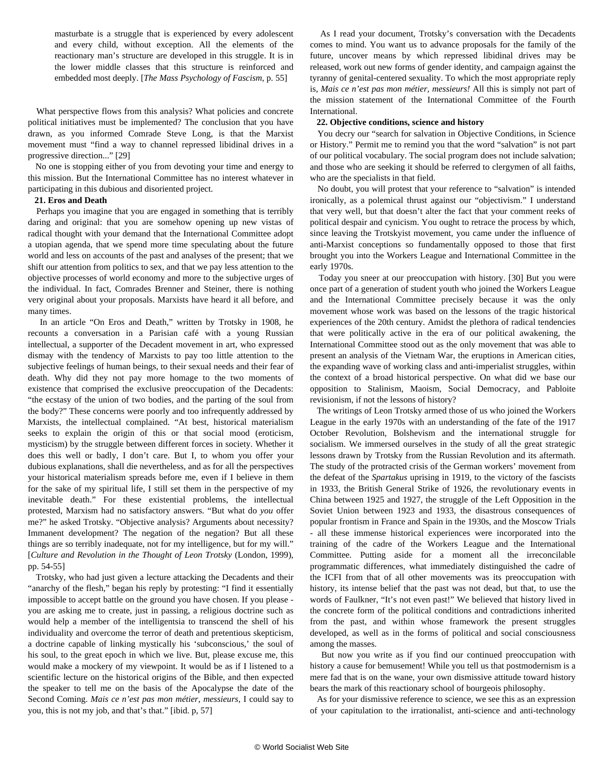masturbate is a struggle that is experienced by every adolescent and every child, without exception. All the elements of the reactionary man's structure are developed in this struggle. It is in the lower middle classes that this structure is reinforced and embedded most deeply. [*The Mass Psychology of Fascism*, p. 55]

 What perspective flows from this analysis? What policies and concrete political initiatives must be implemented? The conclusion that you have drawn, as you informed Comrade Steve Long, is that the Marxist movement must "find a way to channel repressed libidinal drives in a progressive direction..." [29]

 No one is stopping either of you from devoting your time and energy to this mission. But the International Committee has no interest whatever in participating in this dubious and disoriented project.

#### **21. Eros and Death**

 Perhaps you imagine that you are engaged in something that is terribly daring and original: that you are somehow opening up new vistas of radical thought with your demand that the International Committee adopt a utopian agenda, that we spend more time speculating about the future world and less on accounts of the past and analyses of the present; that we shift our attention from politics to sex, and that we pay less attention to the objective processes of world economy and more to the subjective urges of the individual. In fact, Comrades Brenner and Steiner, there is nothing very original about your proposals. Marxists have heard it all before, and many times.

 In an article "On Eros and Death," written by Trotsky in 1908, he recounts a conversation in a Parisian café with a young Russian intellectual, a supporter of the Decadent movement in art, who expressed dismay with the tendency of Marxists to pay too little attention to the subjective feelings of human beings, to their sexual needs and their fear of death. Why did they not pay more homage to the two moments of existence that comprised the exclusive preoccupation of the Decadents: "the ecstasy of the union of two bodies, and the parting of the soul from the body?" These concerns were poorly and too infrequently addressed by Marxists, the intellectual complained. "At best, historical materialism seeks to explain the origin of this or that social mood (eroticism, mysticism) by the struggle between different forces in society. Whether it does this well or badly, I don't care. But I, to whom you offer your dubious explanations, shall die nevertheless, and as for all the perspectives your historical materialism spreads before me, even if I believe in them for the sake of my spiritual life, I still set them in the perspective of my inevitable death." For these existential problems, the intellectual protested, Marxism had no satisfactory answers. "But what do *you* offer me?" he asked Trotsky. "Objective analysis? Arguments about necessity? Immanent development? The negation of the negation? But all these things are so terribly inadequate, not for my intelligence, but for my will." [*Culture and Revolution in the Thought of Leon Trotsky* (London, 1999), pp. 54-55]

 Trotsky, who had just given a lecture attacking the Decadents and their "anarchy of the flesh," began his reply by protesting: "I find it essentially impossible to accept battle on the ground you have chosen. If you please you are asking me to create, just in passing, a religious doctrine such as would help a member of the intelligentsia to transcend the shell of his individuality and overcome the terror of death and pretentious skepticism, a doctrine capable of linking mystically his 'subconscious,' the soul of his soul, to the great epoch in which we live. But, please excuse me, this would make a mockery of my viewpoint. It would be as if I listened to a scientific lecture on the historical origins of the Bible, and then expected the speaker to tell me on the basis of the Apocalypse the date of the Second Coming. *Mais ce n'est pas mon métier, messieurs,* I could say to you, this is not my job, and that's that." [ibid. p, 57]

 As I read your document, Trotsky's conversation with the Decadents comes to mind. You want us to advance proposals for the family of the future, uncover means by which repressed libidinal drives may be released, work out new forms of gender identity, and campaign against the tyranny of genital-centered sexuality. To which the most appropriate reply is, *Mais ce n'est pas mon métier, messieurs!* All this is simply not part of the mission statement of the International Committee of the Fourth International.

#### **22. Objective conditions, science and history**

 You decry our "search for salvation in Objective Conditions, in Science or History." Permit me to remind you that the word "salvation" is not part of our political vocabulary. The social program does not include salvation; and those who are seeking it should be referred to clergymen of all faiths, who are the specialists in that field.

 No doubt, you will protest that your reference to "salvation" is intended ironically, as a polemical thrust against our "objectivism." I understand that very well, but that doesn't alter the fact that your comment reeks of political despair and cynicism. You ought to retrace the process by which, since leaving the Trotskyist movement, you came under the influence of anti-Marxist conceptions so fundamentally opposed to those that first brought you into the Workers League and International Committee in the early 1970s.

 Today you sneer at our preoccupation with history. [30] But you were once part of a generation of student youth who joined the Workers League and the International Committee precisely because it was the only movement whose work was based on the lessons of the tragic historical experiences of the 20th century. Amidst the plethora of radical tendencies that were politically active in the era of our political awakening, the International Committee stood out as the only movement that was able to present an analysis of the Vietnam War, the eruptions in American cities, the expanding wave of working class and anti-imperialist struggles, within the context of a broad historical perspective. On what did we base our opposition to Stalinism, Maoism, Social Democracy, and Pabloite revisionism, if not the lessons of history?

 The writings of Leon Trotsky armed those of us who joined the Workers League in the early 1970s with an understanding of the fate of the 1917 October Revolution, Bolshevism and the international struggle for socialism. We immersed ourselves in the study of all the great strategic lessons drawn by Trotsky from the Russian Revolution and its aftermath. The study of the protracted crisis of the German workers' movement from the defeat of the *Spartakus* uprising in 1919, to the victory of the fascists in 1933, the British General Strike of 1926, the revolutionary events in China between 1925 and 1927, the struggle of the Left Opposition in the Soviet Union between 1923 and 1933, the disastrous consequences of popular frontism in France and Spain in the 1930s, and the Moscow Trials - all these immense historical experiences were incorporated into the training of the cadre of the Workers League and the International Committee. Putting aside for a moment all the irreconcilable programmatic differences, what immediately distinguished the cadre of the ICFI from that of all other movements was its preoccupation with history, its intense belief that the past was not dead, but that, to use the words of Faulkner, "It's not even past!" We believed that history lived in the concrete form of the political conditions and contradictions inherited from the past, and within whose framework the present struggles developed, as well as in the forms of political and social consciousness among the masses.

 But now you write as if you find our continued preoccupation with history a cause for bemusement! While you tell us that postmodernism is a mere fad that is on the wane, your own dismissive attitude toward history bears the mark of this reactionary school of bourgeois philosophy.

 As for your dismissive reference to science, we see this as an expression of your capitulation to the irrationalist, anti-science and anti-technology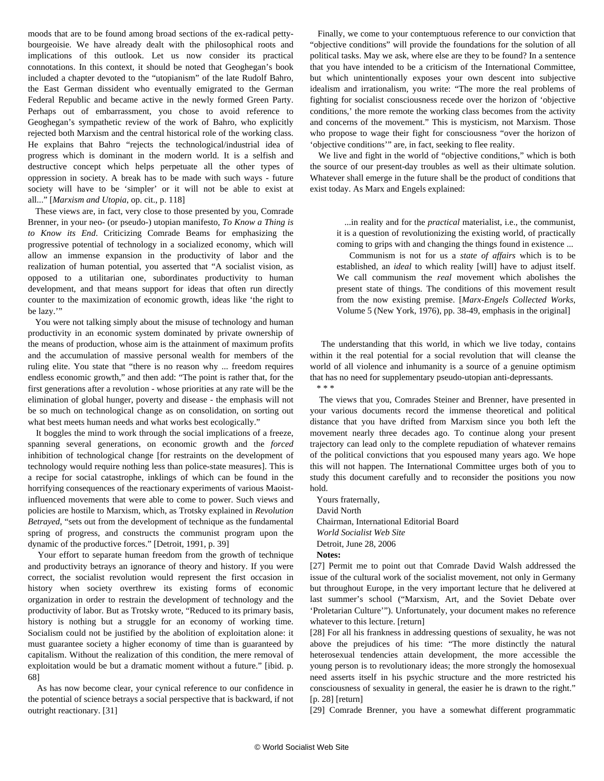moods that are to be found among broad sections of the ex-radical pettybourgeoisie. We have already dealt with the philosophical roots and implications of this outlook. Let us now consider its practical connotations. In this context, it should be noted that Geoghegan's book included a chapter devoted to the "utopianism" of the late Rudolf Bahro, the East German dissident who eventually emigrated to the German Federal Republic and became active in the newly formed Green Party. Perhaps out of embarrassment, you chose to avoid reference to Geoghegan's sympathetic review of the work of Bahro, who explicitly rejected both Marxism and the central historical role of the working class. He explains that Bahro "rejects the technological/industrial idea of progress which is dominant in the modern world. It is a selfish and destructive concept which helps perpetuate all the other types of oppression in society. A break has to be made with such ways - future society will have to be 'simpler' or it will not be able to exist at all..." [*Marxism and Utopia*, op. cit., p. 118]

 These views are, in fact, very close to those presented by you, Comrade Brenner, in your neo- (or pseudo-) utopian manifesto, *To Know a Thing is to Know its End*. Criticizing Comrade Beams for emphasizing the progressive potential of technology in a socialized economy, which will allow an immense expansion in the productivity of labor and the realization of human potential, you asserted that "A socialist vision, as opposed to a utilitarian one, subordinates productivity to human development, and that means support for ideas that often run directly counter to the maximization of economic growth, ideas like 'the right to be lazy."

 You were not talking simply about the misuse of technology and human productivity in an economic system dominated by private ownership of the means of production, whose aim is the attainment of maximum profits and the accumulation of massive personal wealth for members of the ruling elite. You state that "there is no reason why ... freedom requires endless economic growth," and then add: "The point is rather that, for the first generations after a revolution - whose priorities at any rate will be the elimination of global hunger, poverty and disease - the emphasis will not be so much on technological change as on consolidation, on sorting out what best meets human needs and what works best ecologically."

 It boggles the mind to work through the social implications of a freeze, spanning several generations, on economic growth and the *forced* inhibition of technological change [for restraints on the development of technology would require nothing less than police-state measures]. This is a recipe for social catastrophe, inklings of which can be found in the horrifying consequences of the reactionary experiments of various Maoistinfluenced movements that were able to come to power. Such views and policies are hostile to Marxism, which, as Trotsky explained in *Revolution Betrayed*, "sets out from the development of technique as the fundamental spring of progress, and constructs the communist program upon the dynamic of the productive forces." [Detroit, 1991, p. 39]

 Your effort to separate human freedom from the growth of technique and productivity betrays an ignorance of theory and history. If you were correct, the socialist revolution would represent the first occasion in history when society overthrew its existing forms of economic organization in order to restrain the development of technology and the productivity of labor. But as Trotsky wrote, "Reduced to its primary basis, history is nothing but a struggle for an economy of working time. Socialism could not be justified by the abolition of exploitation alone: it must guarantee society a higher economy of time than is guaranteed by capitalism. Without the realization of this condition, the mere removal of exploitation would be but a dramatic moment without a future." [ibid. p. 68]

 As has now become clear, your cynical reference to our confidence in the potential of science betrays a social perspective that is backward, if not outright reactionary. [31]

 Finally, we come to your contemptuous reference to our conviction that "objective conditions" will provide the foundations for the solution of all political tasks. May we ask, where else are they to be found? In a sentence that you have intended to be a criticism of the International Committee, but which unintentionally exposes your own descent into subjective idealism and irrationalism, you write: "The more the real problems of fighting for socialist consciousness recede over the horizon of 'objective conditions,' the more remote the working class becomes from the activity and concerns of the movement." This is mysticism, not Marxism. Those who propose to wage their fight for consciousness "over the horizon of 'objective conditions'" are, in fact, seeking to flee reality.

 We live and fight in the world of "objective conditions," which is both the source of our present-day troubles as well as their ultimate solution. Whatever shall emerge in the future shall be the product of conditions that exist today. As Marx and Engels explained:

 ...in reality and for the *practical* materialist, i.e., the communist, it is a question of revolutionizing the existing world, of practically coming to grips with and changing the things found in existence ...

 Communism is not for us a *state of affairs* which is to be established, an *ideal* to which reality [will] have to adjust itself. We call communism the *real* movement which abolishes the present state of things. The conditions of this movement result from the now existing premise. [*Marx-Engels Collected Works*, Volume 5 (New York, 1976), pp. 38-49, emphasis in the original]

 The understanding that this world, in which we live today, contains within it the real potential for a social revolution that will cleanse the world of all violence and inhumanity is a source of a genuine optimism that has no need for supplementary pseudo-utopian anti-depressants. \* \* \*

 The views that you, Comrades Steiner and Brenner, have presented in your various documents record the immense theoretical and political distance that you have drifted from Marxism since you both left the movement nearly three decades ago. To continue along your present trajectory can lead only to the complete repudiation of whatever remains of the political convictions that you espoused many years ago. We hope this will not happen. The International Committee urges both of you to study this document carefully and to reconsider the positions you now hold.

Yours fraternally,

 David North Chairman, International Editorial Board *World Socialist Web Site* Detroit, June 28, 2006 **Notes:**

[27] Permit me to point out that Comrade David Walsh addressed the issue of the cultural work of the socialist movement, not only in Germany but throughout Europe, in the very important lecture that he delivered at last summer's school (["Marxism, Art, and the Soviet Debate over](/share/page/2005/sep2005/le7-all.shtml) ['Proletarian Culture'"](/share/page/2005/sep2005/le7-all.shtml)). Unfortunately, your document makes no reference whatever to this lecture. [return]

[28] For all his frankness in addressing questions of sexuality, he was not above the prejudices of his time: "The more distinctly the natural heterosexual tendencies attain development, the more accessible the young person is to revolutionary ideas; the more strongly the homosexual need asserts itself in his psychic structure and the more restricted his consciousness of sexuality in general, the easier he is drawn to the right." [p. 28] [return]

[29] Comrade Brenner, you have a somewhat different programmatic